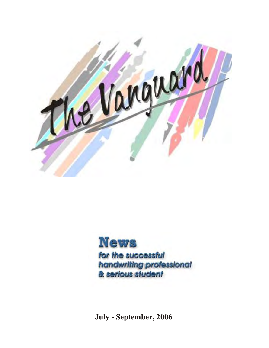

**News** for the successful handwriting professional & serious student

**July - September, 2006**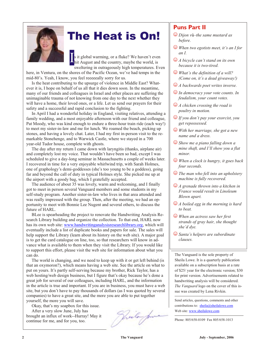

## The Heat is On!

s it global warming, or a fluke? We haven't even hit August and the country, maybe the world, is sweltering in outrageously high temperatures. Even

here, in Ventura, on the shores of the Pacific Ocean, we've had temps in the mid-80's. Yeah, I know, you feel reeeeeally sorry for us.

I

Is the heat contributing to the upsurge of violence in Middle East? Whatever it is, I hope on behalf of us all that it dies down soon. In the meantime, many of our friends and colleagues in Israel and other places are suffering the unimaginable trauma of not knowing from one day to the next whether they will have a home, their loved ones, or a life. Let us send our prayers for their safety and a successful and rapid conclusion to the fighting.

In April I had a wonderful holiday in England, visiting relatives, attending a family wedding, and a most enjoyable afternoon with our friend and colleague, Pat Moody, who was kind enough to endure a three-hour train ride (each way!) to meet my sister-in-law and me for lunch. We roamed the beach, picking up stones, and having a lovely chat. Later, I had my first in-person visit to the remarkable Stonehenge, and to Warwick Castle, where we stayed in a 700 year-old Tudor house, complete with ghosts.

The day after my return I came down with laryngitis (thanks, airplane air) and completely lost my voice. That wouldn't have been so bad, except I was scheduled to give a day-long seminar in Massachusetts a couple of weeks later. I recovered in time for a very enjoyable whirlwind trip, with Sarah Holmes, one of graphology's demi-goddesses (she's too young to be a goddess), going far and beyond the call of duty in typical Holmes style. She picked me up at the airport with a goody bag, which I gratefully accepted.

The audience of about 35 was lovely, warm and welcoming, and I finally got to meet in person several Vanguard members and some students in my self-study program. Another sister-in-law who lives in that area attended and was really impressed with the group. Then, after the meeting, we had an opportunity to meet with Bonnie Lee Nugent and several others, to discuss the future of HARL.

BLee is spearheading the project to renovate the Handwriting Analysis Research Library building and organize the collection. To that end, HARL now has its own web site: [www.handwritinganalysisresearchlibrary.org](http://www.handwritinganalysisresearchlibrary.org), which will eventually include a list of duplicate books and papers for sale. The sales will help support the Library (learn about its history on the web site). A major goal is to get the card catalogue on line, too, so that researchers will know in advance what is available to them when they visit the Library. If you would like to support this effort, please visit the web site for information about what you can do.

The world is changing, and we need to keep up with it or get left behind (is that an oxymoron?), which means having a web site. See the article on what to put on yours. It's partly self-serving because my brother, Rick Taylor, has a web hosting/web design business, but I figure that's okay because he's done a great job for several of our colleagues, including HARL, and the information in the article is true and important. If you are in business, you must have a web site, but you don't have to pay thousands of dollars (as I was quoted by several companies) to have a great site, and the more you are able to put together yourself, the more you will save.

Okay, that's my soapbox for this issue.

After a very slow June, July has brought an influx of work--Hurray! May it continue for me, and for you, too.

### **Puns Part II**

- ( *Dijon v*f*–the same mus tard as be fore.*
- $\odot$  When two egotists meet, it's an I for *an I.*
- $\bigcirc$  *A bicycle can't stand on its own be cause it is two-tired.*
- $\odot$  *What's the definition of a will? (Come on, it's a dead giveaway!)*
- $\odot$  *A backwards poet writes inverse.*
- $\odot$  *In democracy your vote counts. In feu dal ism, your count votes.*
- ( *A chicken crossing the road is poul try in mo tion.*
- $\bigcirc$  If you don't pay your exorcist, you *get re pos sessed.*
- ( *With her marriage, she got a new name and a dress.*
- $\odot$  *Show me a piano falling down a mine shaft, and I'll show you a flat mi nor.*
- $\odot$  When a clock is hungry, it goes back *four seconds.*
- $\odot$  The man who fell into an upholstery *machine is fully recovered.*
- ( *A grenade thrown into a kitchen in France would re sult in Lino leum Blown apart.*
- $\bigcirc$  *A boiled egg in the morning is hard to beat.*
- ( *When an actress saw her first strands of gray hair, she thought she'd dye.*
- $\odot$  Santa's helpers are subordinate *clauses.*

The Vanguard is the sole property of Sheila Lowe. It is a quarterly publication available on a subscription basis at a rate of \$25/ year for the electronic version; \$30 for print version. Advertisements related to hand writing analysis will be considered. *The Vanguard* logo on the cover of this issue was created by Lena Rivkin.

Send articles, questions, comments and other contributions to:  $sheila@sheilalowe.com$ Web site: [www.sheilalowe.com](http://www.sheilalowe.com)

Phone: 805/658-0109 Fax 805/658-1013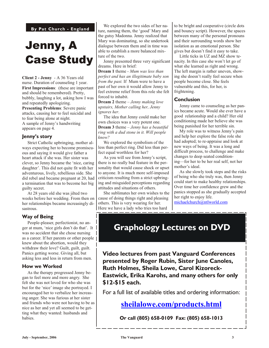**By Pat Church - England** 

## Jenny, A Case Study

**Client 2 - Jenny** - A 36 Years old nurse. Duration of counseling 1 year. **First Impressions**: (these are important and should be remembered). Pretty, bubbly, laughing a lot, asking how I was and repeatedly apologizing. **Presenting Problems**: Severe panic attacks, causing her to feel suicidal and to fear being alone at night. A sample of Jenny's handwriting appears on page 4.

#### **Jenny's story**

Strict Catholic upbringing, mother always expecting her to become promiscuous and saying it would give father a heart attack if she was. Her sister was clever, so Jenny became the 'nice, caring daughter'. This did not quite fit with her adventurous, lively, rebellious side. She did rebel and became pregnant at 20, had a termination that was to become her big guilty secret.

At 28 years old she was jilted two weeks before her wedding. From then on her relationships became increasingly disastrous.

#### **Way of Being**

People-pleaser, perfectionist, no anger at mum, 'nice girls don't do that'. It was no accident that she chose nursing as a career. If her parents or other people | knew about the abortion, would they withdraw their love? Guilt, guilt, guilt. Panics getting worse. Giving all, but asking less and less in return from men.

#### **How we Worked**

As the therapy progressed Jenny began to feel more and more angry. She felt she was not loved for who she was but for the 'nice' image she portrayed. I encouraged her to verbalize her increasing anger. She was furious at her sister and friends who were not having to be as nice as her and yet all seemed to be getting what they wanted: husbands and babies.

We explored the two sides of her nature, naming them, the 'good' Mary and the gutsy Madonna. Jenny realized that Mary was dominating, so she undertook dialogue between them and in time was able to establish a more balanced mixture of the two.

Jenny presented three very significant dreams. Here in brief:

**Dream 1** theme *- Mum was less than per fect and has an il le giti mate baby son from the past.* If Mum were to have a past of her own it would allow Jenny to feel extreme relief from this role she felt forced to inhabit.

**Dream 2** theme – *Jenny making love up stairs, Mother calling her, Jenny ig nores her*.

The idea that Jenny could make her own choices was a very potent one. **Dream 3** theme – *Jenny has a beautiful ring with a dud stone in it. Will people know?*

We explored the symbolism of the less than perfect ring. Did less than perfect equal worthless for her?

As you will see from Jenny's script, there is no really bad feature in the personality that would cause shock or upset to anyone. It is much more self-imposed criticism resulting from a strict upbringing and misguided perceptions regarding attitudes and situations of others.

She sublimates her own wishes to the cause of doing things right and pleasing others. This is very wearing for her. Here we have a lady who tries too hard

to be bright and cooperative (circle dots and bouncy script). However, the spaces between many of the personal pronouns and their surrounding words show her isolation as an emotional person. She gives but doesn't find it easy to take.

Little ticks in UZ and MZ show tenacity. In this case she won't let go of what she learned as right and wrong. The left margin is rather uneven, showing she doesn't really feel secure when people become close. She feels vulnerable and this, for her, is frightening.

#### **Con clu sion**

Jenny came to counseling as her panics be came acute. Would she ever have a good relationship and a child? Her old conditioning made her believe she was being punished for her terrible sin.

My role was to witness Jenny's pain and help her explore the false role she had adopted; to re-appraise and look at new ways of being. It was a long and difficult process, to challenge and make changes to deep seated conditioning—for her to be her real self, not her mother's ideal.

As she slowly took steps and the risks of be ing who she truly was, then Jenny could start to make healthy relationships. Over time her confidence grew and the panics stopped as she gradually accepted her right to enjoy life.

[michaelchurch@ntlworld.com](mailto:michaelchurch@ntlworld.com)

### **Graphology Lectures on DVD**

**Video lectures from past Vanguard Conferences** presented by Roger Rubin, Sister June Canoles, **Ruth Holmes, Sheila Lowe, Carol Kizoreck-Eastwick, Erika Karohs, and many others for only \$12-\$15 each.**

For a full list of available titles and ordering information:

**[sheilalowe.com/products.html](http://)**

**Or call (805) 658-0109 Fax: (805) 658-1013**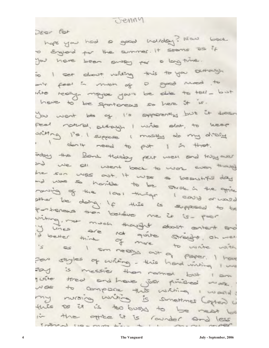Jenny

Deer for

hope you had a good notday? Now back o Egland for the summer. It seems as if you have been away por a long time. is I set showt nating this to you survey. - is feel in mon of a good mod to with really- maybe you'll be able to tell - but have to be sportaness so here it is. You want be of I's apperently but it doesn Feel notural, suttayon I write alat, to keep sting 1's. I suppose I mastly do my dialit don't need to put 1 in that. bey the Bonk Holday per were and this over and we all went back to work even though the sun was out. It was a beautiful day and was so harible to be share in the grice ranging of the look things I could arrived other be doing. If this is supposed to be partieness then believe me it is - par viting, me much thought about ontent and is as I am neary out a write with is as I am neary out of note with For styles of writing - this hand writing I we say is messier than named but I am yuite treat and have just principled more. was to compare this wishing I wand! my nursing writing is something Capter Lin this so is is to busy to be near to in the office it is rounder and  $T<sub>min-1</sub>$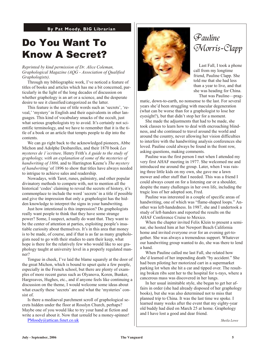**By Pat Moody, BIG Librarian** 

### Do You Want To Know A Secret?

*Re printed by kind permis sion of Dr. Alice Coleman,* Graphological Magazine (AQG - Association of Qualified  $Graphologists)$ .

Through my bibliographic work, I've noticed a feature of titles of books and articles which has me a bit concerned, particularly in the light of the long decades of discussion on whether graphology is an art or a science, and the desperate desire to see it classified/categorized as the latter.

This feature is the use of title words such as 'secrets', 'reveal,' 'mystery' in English and their equivalents in other languages. This kind of vocabulary smacks of the occult, just what serious graphologists try to avoid. It's certainly not scientific terminology, and we have to remember that it is the title of a book or an article that tempts people to dip into the contents.

We can go right back to the acknowledged pioneers, Abbe Michon and Adolphe Desbarolles, and their 1870 book *Les mysteres de 1'ecriture,* Henry Frith's *A guide to the study of gra phol ogy, with an expla na tion of some of the mysteries of handwriting of 1886, and to Harrington Keene's The mystery of handwriting'* of 1896 to show that titles have always needed to intrigue to achieve sales and readership.

Now adays, with Tarot, runes, palmistry, and other popular divinatory methods to compete with, not to mention all the historical 'codes' claiming to reveal the secrets of history, it's commonplace to include the word 'secrets' in a title if possible and give the impression that only a graphologist has the hidden knowledge to interpret the signs in your handwriting.

Just how intentional is this impression? Do graphologists really want people to think that they have some strange power? Some, I suspect, actually do want that. They want to be the center of attention at parties, exploiting people's insatiable curiosity about themselves. It's in this area that money is to be made, of course, and if that is as far as many graphologists need to go with their studies to earn their keep, what hope is there for the relatively few who would like to see graphology taught at university level in a properly regulated manner?

Tongue in cheek, I've laid the blame squarely at the door of the great Michon, which is bound to upset quite a few people, especially in the French school, but there are plenty of examples of more recent gurus such as Olyanova, Koren, Bunker, Hargreaves, Hughes, etc., and if anyone feels like continuing a discussion on the theme, I would welcome some ideas about what exactly these 'secrets' are and what the 'mysteries' consist of.

Is there a mediaeval parchment scroll of graphological secrets hidden under the floor at Rosslyn Church, perhaps? Maybe one of you would like to try your hand at fiction and write a novel about it. Now that *would* be a money-spinner!

[PMoody@attican.fsnet.co.uk](mailto:PMoody@attican.fsnet.co.uk)



### Pauline Morris-Clapp

Last Fall, I took a phone call from my longtime friend, Pauline Clapp. She told me that she had less than a year to live, and that she was heading for China. That was Pauline—prag-

matic, down-to-earth, no nonsense to the last. For several years she'd been struggling with macular degeneration (what can be worse than for a graphologist to lose her eyesight?), but that didn't stop her for a moment.

She made the adjustments that had to be made, she took classes to learn how to deal with encroaching blindness, and she continued to travel around the world and around the country, never allowing her vision difficulties to interfere with the hand writing analysis conferences she loved. Pauline could always be found in the front row, asking questions, making comments.

Pauline was the first person I met when I attended my very first AHAF meeting in 1977. She welcomed me and introduced me around the group. Later, when I was raising three little kids on my own, she gave me a lawn mower and other stuff that I needed. This was a friend I could always count on for a listening ear or a shoulder, despite the many challenges in her own life, including the tragic loss of her adopted son, Fred.

Pauline was interested in a couple of specific areas of hand writing, one of which was "flame-shaped loops." Another was left-handedness. In 1987, she and I undertook a study of left-handers and reported the results on the AHAF Conference Cruise to Mexico.

When the chapter invited Felix Klein to present a seminar, she hosted him at her Newport Beach California home and invited everyone over for an evening get-together. She was always a tremendous support. Whatever our hand writing group wanted to do, she was there to lend a hand.

When Pauline called me last Fall, she related how she'd learned of her impending death "by accident." She had been piloting her motorized cart in a supermarket park ing lot when she hit a car and tipped over. The resulting broken ribs sent her to the hospital for x-rays, where a cancerous mass was discovered in her lungs.

In her usual inimitable style, she began to get her affairs in order (she had already disposed of her graphology books), but she was also determined not to miss that planned trip to China. It was the last time we spoke. I learned many weeks after the event that my eighty-year old buddy had died on March 25 at home. Graphology and I have lost a good and dear friend.

*Sheila Lowe*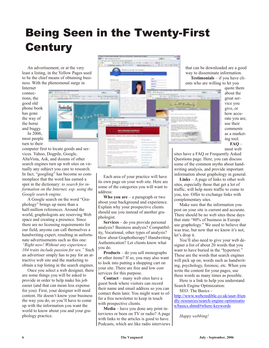## **Being Seen in the Twenty-First Century**

An advertisement, or at the very least a listing, in the Yellow Pages used to be the chief means of obtaining business. With the phenomenal surge in

Internet connections, the good old phone book has gone the way of the horse and buggy. In 2006,

most people turn to their



quote them about the great ser vice you give, or how accurate you are, use their comments as a marketing tool. **FAQ** –

most web

computer first to locate goods and services. Yahoo, Dogpile, Google, AltaVista, Ask, and dozens of other search engines turn up web sites on virtually any subject you care to research. In fact, "googling" has become so commonplace that the word has earned a spot in the dictionary: *to search for infor ma tion on the Internet, esp. using the Google search en gine.*

A Google search on the word "Graphology" brings up more than a half-million references. Around the world, graphologists are reserving Web space and creating a presence. Since there are no licensing requirements for our field, any one can call themselves a hand writing expert, resulting in unfortunate advertisements such as this one: *"Right now! Without any experience." 104 traits in clude pas sion for sex."* Such an advertiser simply has to pay for an at-

tractive web site and the marketing to obtain a top listing in the search engines. Once you select a web designer, there

are some things you will be asked to provide in order to help make his job easier (and that can mean less expense for you). First, your designer will need content. He doesn't know your business the way you do, so you'll have to come up with the information you want the world to know about you and your graphology practice.

Each area of your practice will have its own page on your web site. Here are some of the categories you will want to address:

**Who you are** – a paragraph or two about your background and experience. Explain why your prospective clients should use you instead of another graphologist.

**Services** – do you provide personal analysis? Business analysis? Compatibility, Vocational, other types of analysis? How about Graphotherapy? Handwriting Authentication? Let clients know what you do.

**Products** – do you sell monographs or other items? If so, you may also want to look into putting a shopping cart on your site. There are free and low cost services for this purpose.

**Con tact** – many web sites have a guest book where visitors can record their name and email address so you can contact them later. You might want to offer a free newsletter to keep in touch with prospective clients.

**Media** – have you done any print interviews or been on TV or radio? A page with links to the articles is good to have. Podcasts, which are like radio interviews sites have a FAQ or Frequently Asked Questions page. Here, you can discuss some of the common myths about handwriting analysis, and provide important information about graphology in general.

**Links** – A page of links to other web sites, especially those that get a lot of traffic, will help more traffic to come to you, too. Offer to exchange links with complementary sites.

Make sure that the information you post on your site is current and accurate. There should be no web sites these days that state "80% of business in Europe use graphology." We used to believe that was true, but now that we know it's not, let's drop it.

You'll also need to give your web designer a list of about 20 words that you want to have buried in the "hypertext." These are the words that search engines will pick up on; words such as handwriting, psychology, forensic, etc. When you write the content for your pages, use these words as many times as possible.

Here is a link to help you understand Search Engine Optimization:

SEO: The Basics -

[http://www.webcredible.co.uk/user-frien](http://www.webcredible.co.uk/user-friendly-resources/search-engine-optimisation/basics.shtml#where-keywords) [dly-resources/search-engine-optimisatio](http://www.webcredible.co.uk/user-friendly-resources/search-engine-optimisation/basics.shtml#where-keywords) [n/basics.shtml#where-keywords](http://www.webcredible.co.uk/user-friendly-resources/search-engine-optimisation/basics.shtml#where-keywords)

*Happy web bing!*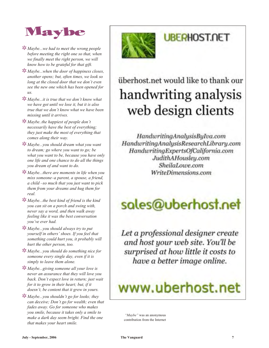

- **\*\*** *Maybe...we had to meet the wrong people be fore meeting the right one so that, whe n we finally meet the right person, we will know how to be grate ful for that gift.*
- *K Maybe...when the door of happiness closes,* another opens; but, often times, we look so *long at the closed door that we don't even see the new one which has been opened for us.*
- s *Maybe...it is true that we don't know what we have got until we lose it, but it is also true that we don't know what we have bee n missing until it arrives.*
- *kMaybe..the happiest of people don't necessarily have the best of everything; they just make the most of everything that comes along their way.*
- s *Maybe...you should dream what you want to dream; go where you want to go; be what you want to be, be cause you have only one life and one chance to do all the things you dream of and want to do.*
- s *Maybe...there are mo ments in life when you miss some one–a par ent, a spouse, a friend, a child –so much that you just want to pick them from your dreams and hug them for real.*
- s *Maybe...the best kind of friend is the kind you can sit on a porch and swing with, never say a word, and then walk away feel ing like it was the best con ver sa tion you've ever had.*
- s *Maybe...you should always try to put your self in oth ers' shoes. If you feel that* something could hurt you, it probably will *hurt the other person, too.*
- s *Maybe...you should do something nice for someone every single day, even if it is sim ply to leave them alone.*
- s *Maybe...giv ing someone all your love is never an as sur ance that they will love you back. Don't expect love in return; just wait for it to grow in their heart; but, if it doesn't, be content that it grew in yours.*
- **\*\*** *Maybe...you shouldn't go for looks; they can de ceive; Don't go for wealth; even that fades away. Go for someone who makes you smile, be cause it takes only a smile to make a dark day seem bright. Find the one that makes your heart smile.*



## **UBERHOST.NET**

## überhost.net would like to thank our handwriting analysis web design clients

HandwritingAnalysisByIva.com HandwritingAnalysisResearchLibrary.com HandwritingExpertsOfCalifornia.com JudithAHousley.com SheilaLowe.com WriteDimensions.com

# sales@uberhost.net

Let a professional designer create and host your web site. You'll be surprised at how little it costs to have a better image online.

# www.uberhost.net

*"Maybe "* was an anonymous contribution from the Internet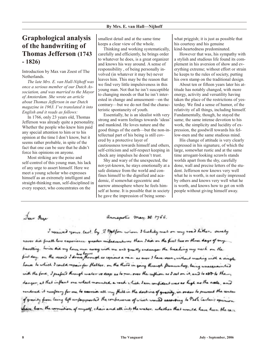### **Graphological analysis of the hand writ ing of Thomas Jefferson (1743 - 1826)**

Introduction by Max van Zoest of The Netherlands.

*The late Mrs. E. van Hall-Nijhoff was once a serious member of our Dutch Asso ci a tion, and was mar ried to the Mayor of Am sterdam. She wrote an article about Thomas Jefferson in our Dutch mag a zine in 1963. I've trans lated it into English and it reads as follows:* 

In 1766, only 23 years old, Thomas Jefferson was already quite a personality. Whether the people who knew him paid any special attention to him or to his opinion at the time I don't know, but it seems rather probable, in spite of the fact that one can be sure that he didn't force his opinions on anyone.

Most striking are the poise and self-control of this young man, his lack of any urge to as sert him self. Here we meet a young scholar who expresses himself as an extremely intelligent and straight-thinking man, self-disciplined in every respect, who concentrates on the

Sear Page

smallest detail and at the same time keeps a clear view of the whole.

Thinking and working systematically, carefully and efficiently, he brings order to whatever he does, is a great organizer and knows his way around. A sense of responsibility, of being personally involved (in whatever it may be) never leaves him. This may be the reason that we find very little impulsiveness in this young man. Not that he isn't susceptible to changing moods or that he isn't interested in change and amusement—on the contrary—but we do not find the characteristic spontaneity of youth.

Essentially, he is an idealist with very strong and warm feelings towards 'ideas' and mankind. He loves nature and the good things of the earth—but the non-in tellectual part of his being is still covered by a protective layer of cautiousness towards himself and others, self-criticism and self-respect keeping in check any impulses he doesn't trust.

Shy and wary of the unexpected, the not-yet-known, he stays emotionally at a safe distance from the world and confines himself to the dignified and academic, if somewhat egocentric and narrow atmosphere where he feels himself at home. It is possible that in society he gave the impression of being somewhat priggish; it is just as possible that his courtesy and his genuine kind-heartedness predominated.

However that was, his sympathy with a stylish and studious life found its complement in his aversion of show and every thing extreme; without effort or strain he keeps to the rules of society, putting his own stamp on the traditional design.

About ten or fifteen years later his attitude has notably changed, with more energy, activity and versatility having taken the place of the restrictions of yesterday. We find a sense of humor, of the relativity of all things, including himself. Fundamentally, though, he stayed the same; the same intense devotion to his work, the simplicity and lucidity of expression, the goodwill towards his fellow-men and the same studious mind.

His change of attitude is very clearly expressed in his signature, of which the large, somewhat rustic and at the same time arrogant-looking scrawls stands worlds apart from the shy, carefully done, wall and precise letters of the student. Jefferson now knows very well what he is worth, is not easily impressed by others and knows very well what he is worth, and knows how to get on with people without giving himself away.

annapolic may. 25. 1766.

I received your last by I Malfon whom I bechily met on my road hither. surely never did frall have experience greater mifadventures than I did on the first two or three days of my travelling . hince did my horse men away with me and greatly endanger the breahing my nech on the first day . on the vecon's I draw through as copious a vain as ever I have veen , without meeting with a vingle house to which I could repair for thelter . on the third in going through Pamunkey , being unacquainted with the ford, I prefeed through water we deep as to ner. over the cuffion as I sat on it, and to aDD to the danger, at that inflant one wheel mounted a rock , hich I am confident was as high as the asele, and rendered it necessary for me to cassive all my thill in the doctrine of gravity, in order to prevent the center of gravity from being left unferprovised the conference of which would according to Both Carles's opinion shave been the corruction of myself, chair and all int, the water, whether that would have heen the care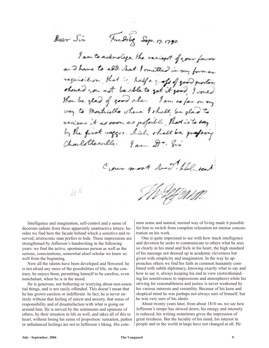Fredrig Sep. 17. 1790. Dear Sir

I am to acknowlge the recient of your favor and have to ald hat I mitted in my former requisition, that is, half a good good proster. should now not be able to get it good, I would then be glad of good ale. I am so far on my way to Montriello shere I shall be glad recieve it as room as posaible, that is to say by the first usegon thick shall be graft Charlottesville: lan Dr. Sur



Intelligence and imagination, self-control and a sense of decorum radiate from these apparently unattractive letters: besides we find here the facade behind which a sensitive and reserved, aristocratic man prefers to hide. These impressions are strengthened by Jefferson's handwriting in the following years: we find the active, spontaneous person as well as the serious, conscientious, somewhat aloof scholar we knew so well from the beginning.

Now all the talents have been developed and flowered: he is not afraid any more of the possibilities of life, on the contrary, he enjoys them, permitting himself to be carefree, even nonchalant, when he is in the mood.

He is generous, not bothering or worrying about non-essential things, and is not easily offended. This doesn't mean that he has grown careless or indifferent. In fact, he is never entirely without that feeling of unrest and anxiety, that sense of responsibility and of dissatisfaction with what is going on around him. He is moved by the sentiments and opinions of others, by their situation in life as well, and takes all of this to heart, without losing his sense of proportion: sensation, pathos or unbalanced feelings are not to Jefferson's liking. His com-

mon sense and natural, normal way of living made it possible for him to switch from complete relaxation tot intense concentration on his work.

One is quite impressed to see with how much intelligence and devotion he seeks to communicate to others what he sees so clearly in his mind and feels in his heart, the high standard of his message not dressed up in academic cleverness but given with simplicity and imagination. In the way he approaches others we find his faith in common humanity combined with subtle diplomacy, knowing exactly what to say and how to say it, always keeping his end in view (not with standing his sensitiveness to impressions and atmosphere) while his striving for reasonableness and justice is never weakened by his various interests and versatility. Because of his keen and skeptical mind he was perhaps not always sure of himself, but he was very sure of his ideals.

About twenty years later, from about 1810 on, we see how Jefferson's tempo has slowed down, his energy and intensity is reduced; his writing sometimes gives the impression of great tiredness. But the lucidity of his mind, his interest in people and in the world at large have not changed at all. He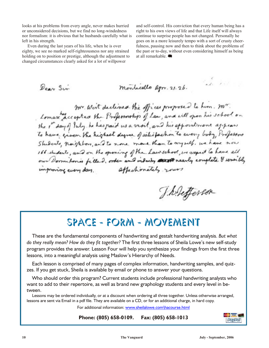looks at his problems from every angle, never makes hurried or unconsidered decisions, but we find no long-windedness nor formalism: it is obvious that he husbands carefully what is left in his strength.

Even during the last years of his life, when he is over eighty, we see no marked self-righteousness nor any strained holding on to position or prestige, although the adjustment to changed circum stances clearly asked for a lot of will power

 $D_{\text{cav}}$  Sir

and self-control. His conviction that every human being has a right to his own views of life and that Life itself will always continue to surprise people has not changed. Personally he goes on in a more leisurely tempo with a sort of crusty cheerfulness, pausing now and then to think about the problems of the past or to-day, without even considering himself as being at all remarkable. <a>

the for

montecello apr. 21.26. Mr. Wirt declined the offices proposed to him. Mr. the it day of July he has paid us a visit, and his appointment appears to have given the highest degree of salisfachon to every body, Professors Shiberts, naighbors, and to none more than to myself, we have now 166 students, and on the opening of the Lawschool, we expect to have all our Dormitoria filled, order and industry another rearly complete & sensibly improvince every day, affectionately yours

J. helefferson

## Space - Form - Movement

These are the fundamental components of handwriting and gestalt handwriting analysis. *But what* do they really mean? How do they fit together? The first three lessons of Sheila Lowe's new self-study program provides the answer. Lesson Four will help you synthesize your findings from the first three lessons, into a meaningful analysis using Maslow's Hierarchy of Needs.

Each lesson is comprised of many pages of complex information, handwriting samples, and quizzes. If you get stuck, Sheila is available by email or phone to answer your questions.

Who should order this program? Current students include professional hand writing analysts who want to add to their repertoire, as well as brand new graphology students and every level in between.

Lessons may be ordered individually, or at a discount when ordering all three together. Unless otherwise arranged, lessons are sent via Email in a pdf file. They are available on a CD, or for an additional charge, in hard copy.

For additional information: [www.sheilalowe.com\hacourse.html](http://www.sheilalowe.com\hacourse.html)

**Phone: (805) 658-0109. Fax: (805) 658-1013**

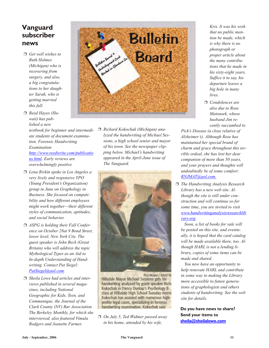### **Vanguard subscriber news**

- *Get well wishes to Ruth Holmes (Michigan)* who is *re cov er ing from surgery, and also,*  $a$  big congratula*tions to her daugh ter Sa rah, who is get ting mar ried this fall.*
- *Reed Hayes (Ha*  waii) has pub*lished a new*

*text book for be gin ner and in ter me di ate stu dents of doc u ment ex am i na tion. Fo ren sic Hand writ ing Ex am i na tion [http://www.reedwrite.com/publicatio](http://www.reedwrite.com/publications.html) [ns.html](http://www.reedwrite.com/publications.html). Early re views are overwhelmingly positive*

- *Lena Rivkin spoke in Los An geles a very lively and re sponsive YPO (Young President's Organization) group in June on Gra phol ogy in Business. She focused on compatibil ity and how dif fer ent em ploy ees might work to gether—their dif ferent styles of com mu ni ca tion, ap ti tudes, and so cial be hav ior.*
- □ *ASPG* is holding their Fall Confer*ence on Oc to ber 28at 9 Bond Street, lower level, New York City. The guest speaker is John Beck (Great Brit ain) who will address the topic Myth o log i cal Types as an Aid to In-depth Un der stand ing of Hand writing. Contact Pat Siegel: [PatSiegel@aol.com](mailto:PatSiegel@aol.com).*
- □ *Sheila Lowe had articles and interviews published in several maga* $zines, including National$ *Geo graphic for Kids, Teen, and Communique, the Journal of the Clark County (NV) Bar Association. The Berke ley Monthly, for which she in ter viewed, also fea tured Vimala Rodgers and Jeanette Farmer.*



□ *Richard Kokochak (Michigan)* ana*lyzed the hand writ ing of Mi chael Ses sions, a high school se nior and mayor of his town. See the newspaper clipping be low. Mi chael's hand writ ing ap peared in the April-June is sue of The Vanguard.*



PETE MOWIY / DAILY NE Hillsdale Mayor Michael Sessions gets his handwriting analyzed by guest speaker Richa Kokochak in Dancy Dunlap's Psychology B class at Hillsdale High School Tuesday morni Kokochak has assisted with numerous highprofile legal cases, specializing in forensic handwriting examination. Kokochak said

 *On July 5, Ted Widmer passed away in his home, attended by his wife,*

- *Kris. It was his wish that no public mention be made, which is why there is no pho to graph or proper ar ti cle about the many con tribu tions that he made in his sixty-eight years. Suffice it to say, his de par ture leaves a big hole in many lives.*
- *Con do lences are also due to Rose Matousek, whose hus band Jim re cently suc cumbed to*

*Pick's Disease (a close relative of Alz hei mer's). Al though Rose has main tained her spe cial brand of charm and grace through out this ter ri ble ordeal, she has lost her dear com pan ion of more than 50 years, and your prayers and thoughts will undoubtedly be of some comfort: [RNJMAT@aol.com.](mailto:RNJMAT@aol.com.)*

 *The Hand writ ing Anal y sis Re search Li brary has a new web site. Al though the site is still under construc tion and will con tinue so for some time, you are in vited to visit [www.handwritinganalysisresearchlib](http://www.handwritinganalysisresearchlibrary.org) [rary.org](http://www.handwritinganalysisresearchlibrary.org).* 

 *Soon, a list of books for sale will be posted on this site, and even tu ally, it is hoped that the card catalog will be made available there, too. Although HARL is not a lending library, cop ies of some items can be made and shared.* 

*You now have an opportunity to help ren o vate HARL and con trib ute in some way to making the Library more accessible to future generations of graphologists and others stu dents of hand writ ing. See the web site for details.* 

**Do you have news to share? Send your items to [sheila@sheilalowe.com](mailto:sheila@sheilalowe.com)**